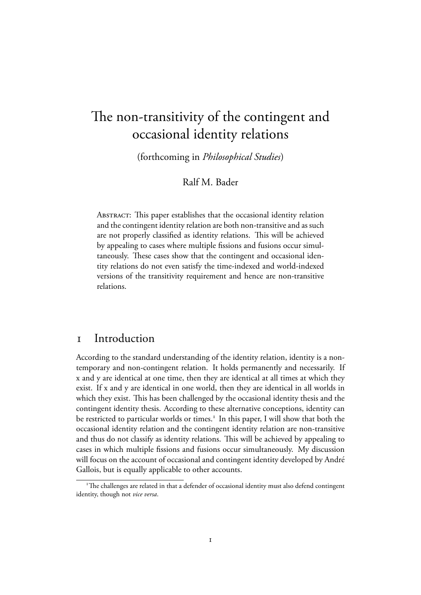# The non-transitivity of the contingent and occasional identity relations

(forthcoming in *Philosophical Studies*)

Ralf M. Bader

ABSTRACT: This paper establishes that the occasional identity relation and the contingent identity relation are both non-transitive and as such are not properly classified as identity relations. This will be achieved by appealing to cases where multiple fissions and fusions occur simultaneously. These cases show that the contingent and occasional identity relations do not even satisfy the time-indexed and world-indexed versions of the transitivity requirement and hence are non-transitive relations.

## Introduction

According to the standard understanding of the identity relation, identity is a nontemporary and non-contingent relation. It holds permanently and necessarily. If x and y are identical at one time, then they are identical at all times at which they exist. If x and y are identical in one world, then they are identical in all worlds in which they exist. This has been challenged by the occasional identity thesis and the contingent identity thesis. According to these alternative conceptions, identity can be restricted to particular worlds or times.<sup>1</sup> In this paper, I will show that both the occasional identity relation and the contingent identity relation are non-transitive and thus do not classify as identity relations. This will be achieved by appealing to cases in which multiple fissions and fusions occur simultaneously. My discussion will focus on the account of occasional and contingent identity developed by André Gallois, but is equally applicable to other accounts.

<sup>&</sup>lt;sup>1</sup>The challenges are related in that a defender of occasional identity must also defend contingent identity, though not *vice versa*.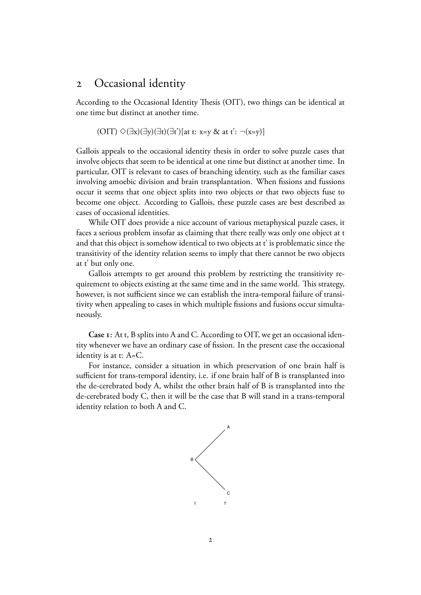#### 2 Occasional identity

According to the Occasional Identity Thesis (OIT), two things can be identical at one time but distinct at another time.

(OIT) *✸*(*∃*x)(*∃*y)(*∃*t)(*∃*t')[at t: x=y & at t': *¬*(x=y)]

Gallois appeals to the occasional identity thesis in order to solve puzzle cases that involve objects that seem to be identical at one time but distinct at another time. In particular, OIT is relevant to cases of branching identity, such as the familiar cases involving amoebic division and brain transplantation. When fissions and fussions occur it seems that one object splits into two objects or that two objects fuse to become one object. According to Gallois, these puzzle cases are best described as cases of occasional identities.

While OIT does provide a nice account of various metaphysical puzzle cases, it faces a serious problem insofar as claiming that there really was only one object at t and that this object is somehow identical to two objects at t' is problematic since the transitivity of the identity relation seems to imply that there cannot be two objects at t' but only one.

Gallois attempts to get around this problem by restricting the transitivity requirement to objects existing at the same time and in the same world. This strategy, however, is not sufficient since we can establish the intra-temporal failure of transitivity when appealing to cases in which multiple fissions and fusions occur simultaneously.

**Case :** At t, B splits into A and C. According to OIT, we get an occasional identity whenever we have an ordinary case of fission. In the present case the occasional identity is at t: A=C.

For instance, consider a situation in which preservation of one brain half is sufficient for trans-temporal identity, i.e. if one brain half of B is transplanted into the de-cerebrated body A, whilst the other brain half of B is transplanted into the de-cerebrated body C, then it will be the case that B will stand in a trans-temporal identity relation to both A and C.

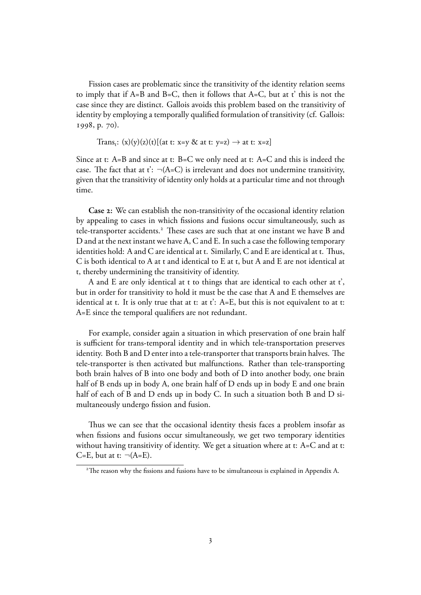Fission cases are problematic since the transitivity of the identity relation seems to imply that if  $A=B$  and  $B=C$ , then it follows that  $A=C$ , but at t' this is not the case since they are distinct. Gallois avoids this problem based on the transitivity of identity by employing a temporally qualified formulation of transitivity (cf. Gallois: 1998, p. 70).

Trans<sub>t</sub>:  $(x)(y)(z)(t)$ [(at t: x=y & at t: y=z)  $\rightarrow$  at t: x=z]

Since at t:  $A=B$  and since at t:  $B=C$  we only need at t:  $A=C$  and this is indeed the case. The fact that at t':  $\neg$ (A=C) is irrelevant and does not undermine transitivity, given that the transitivity of identity only holds at a particular time and not through time.

**Case 2:** We can establish the non-transitivity of the occasional identity relation by appealing to cases in which fissions and fusions occur simultaneously, such as tele-transporter accidents.<sup>2</sup> These cases are such that at one instant we have B and D and at the next instant we have A, C and E. In such a case the following temporary identities hold: A and C are identical at t. Similarly, C and E are identical at t. Thus, C is both identical to A at t and identical to E at t, but A and E are not identical at t, thereby undermining the transitivity of identity.

A and E are only identical at t to things that are identical to each other at t', but in order for transitivity to hold it must be the case that A and E themselves are identical at t. It is only true that at t: at  $t$ : A=E, but this is not equivalent to at t: A=E since the temporal qualifiers are not redundant.

For example, consider again a situation in which preservation of one brain half is sufficient for trans-temporal identity and in which tele-transportation preserves identity. Both B and D enter into a tele-transporter that transports brain halves. The tele-transporter is then activated but malfunctions. Rather than tele-transporting both brain halves of B into one body and both of D into another body, one brain half of B ends up in body A, one brain half of D ends up in body E and one brain half of each of B and D ends up in body C. In such a situation both B and D simultaneously undergo fission and fusion.

Thus we can see that the occasional identity thesis faces a problem insofar as when fissions and fusions occur simultaneously, we get two temporary identities without having transitivity of identity. We get a situation where at t: A=C and at t: C=E, but at t:  $\neg(A=E)$ .

<sup>&</sup>lt;sup>2</sup>The reason why the fissions and fusions have to be simultaneous is explained in Appendix A.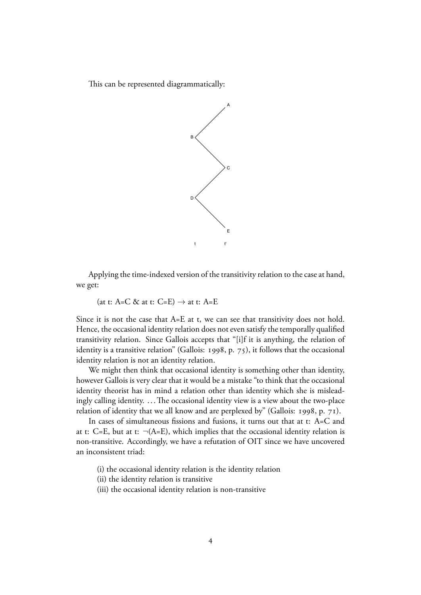This can be represented diagrammatically:



Applying the time-indexed version of the transitivity relation to the case at hand, we get:

(at t: A=C & at t: C=E)  $\rightarrow$  at t: A=E

Since it is not the case that  $A=E$  at t, we can see that transitivity does not hold. Hence, the occasional identity relation does not even satisfy the temporally qualified transitivity relation. Since Gallois accepts that "[i]f it is anything, the relation of identity is a transitive relation" (Gallois: 1998, p. 75), it follows that the occasional identity relation is not an identity relation.

We might then think that occasional identity is something other than identity, however Gallois is very clear that it would be a mistake "to think that the occasional identity theorist has in mind a relation other than identity which she is misleadingly calling identity. ... The occasional identity view is a view about the two-place relation of identity that we all know and are perplexed by" (Gallois: 1998, p. 71).

In cases of simultaneous fissions and fusions, it turns out that at t: A=C and at t:  $C=E$ , but at t:  $\neg(A=E)$ , which implies that the occasional identity relation is non-transitive. Accordingly, we have a refutation of OIT since we have uncovered an inconsistent triad:

- (i) the occasional identity relation is the identity relation
- (ii) the identity relation is transitive
- (iii) the occasional identity relation is non-transitive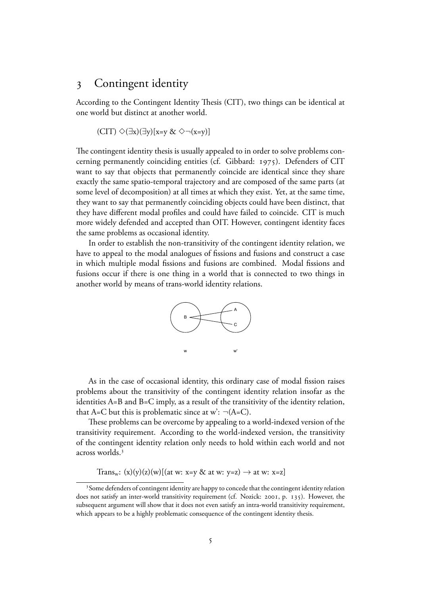#### Contingent identity

According to the Contingent Identity Thesis (CIT), two things can be identical at one world but distinct at another world.

$$
(CIT) \Diamond (\exists x)(\exists y)[x=y \& \Diamond \neg (x=y)]
$$

The contingent identity thesis is usually appealed to in order to solve problems concerning permanently coinciding entities (cf. Gibbard: 1975). Defenders of CIT want to say that objects that permanently coincide are identical since they share exactly the same spatio-temporal trajectory and are composed of the same parts (at some level of decomposition) at all times at which they exist. Yet, at the same time, they want to say that permanently coinciding objects could have been distinct, that they have different modal profiles and could have failed to coincide. CIT is much more widely defended and accepted than OIT. However, contingent identity faces the same problems as occasional identity.

In order to establish the non-transitivity of the contingent identity relation, we have to appeal to the modal analogues of fissions and fusions and construct a case in which multiple modal fissions and fusions are combined. Modal fissions and fusions occur if there is one thing in a world that is connected to two things in another world by means of trans-world identity relations.



As in the case of occasional identity, this ordinary case of modal fission raises problems about the transitivity of the contingent identity relation insofar as the identities A=B and B=C imply, as a result of the transitivity of the identity relation, that A=C but this is problematic since at w':  $\neg$ (A=C).

These problems can be overcome by appealing to a world-indexed version of the transitivity requirement. According to the world-indexed version, the transitivity of the contingent identity relation only needs to hold within each world and not across worlds.

Trans<sub>w</sub>:  $(x)(y)(z)(w)$ [(at w: x=y & at w: y=z)  $\rightarrow$  at w: x=z]

 $3$  Some defenders of contingent identity are happy to concede that the contingent identity relation does not satisfy an inter-world transitivity requirement (cf. Nozick:  $2001$ , p.  $135$ ). However, the subsequent argument will show that it does not even satisfy an intra-world transitivity requirement, which appears to be a highly problematic consequence of the contingent identity thesis.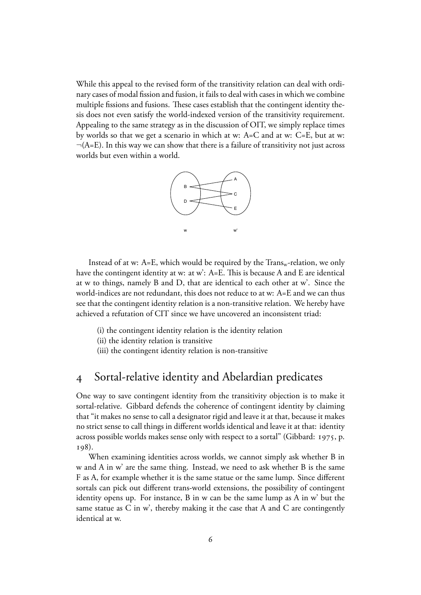While this appeal to the revised form of the transitivity relation can deal with ordinary cases of modal fission and fusion, it fails to deal with cases in which we combine multiple fissions and fusions. These cases establish that the contingent identity thesis does not even satisfy the world-indexed version of the transitivity requirement. Appealing to the same strategy as in the discussion of OIT, we simply replace times by worlds so that we get a scenario in which at w: A=C and at w: C=E, but at w: *¬*(A=E). In this way we can show that there is a failure of transitivity not just across worlds but even within a world.



Instead of at w: A=E, which would be required by the  $Trans_w$ -relation, we only have the contingent identity at w: at w: A=E. This is because A and E are identical at w to things, namely B and D, that are identical to each other at w'. Since the world-indices are not redundant, this does not reduce to at w: A=E and we can thus see that the contingent identity relation is a non-transitive relation. We hereby have achieved a refutation of CIT since we have uncovered an inconsistent triad:

- (i) the contingent identity relation is the identity relation
- (ii) the identity relation is transitive
- (iii) the contingent identity relation is non-transitive

### Sortal-relative identity and Abelardian predicates

One way to save contingent identity from the transitivity objection is to make it sortal-relative. Gibbard defends the coherence of contingent identity by claiming that "it makes no sense to call a designator rigid and leave it at that, because it makes no strict sense to call things in different worlds identical and leave it at that: identity across possible worlds makes sense only with respect to a sortal" (Gibbard: 1975, p. 198).

When examining identities across worlds, we cannot simply ask whether B in w and A in w' are the same thing. Instead, we need to ask whether B is the same F as A, for example whether it is the same statue or the same lump. Since different sortals can pick out different trans-world extensions, the possibility of contingent identity opens up. For instance, B in w can be the same lump as A in w' but the same statue as  $C$  in w', thereby making it the case that  $A$  and  $C$  are contingently identical at w.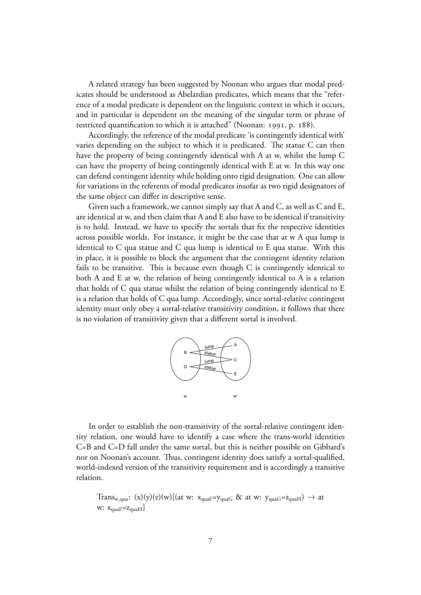A related strategy has been suggested by Noonan who argues that modal predicates should be understood as Abelardian predicates, which means that the "reference of a modal predicate is dependent on the linguistic context in which it occurs, and in particular is dependent on the meaning of the singular term or phrase of restricted quantification to which it is attached" (Noonan: 1991, p. 188).

Accordingly, the reference of the modal predicate 'is contingently identical with' varies depending on the subject to which it is predicated. The statue  $C$  can then have the property of being contingently identical with A at w, whilst the lump C can have the property of being contingently identical with E at w. In this way one can defend contingent identity while holding onto rigid designation. One can allow for variations in the referents of modal predicates insofar as two rigid designators of the same object can differ in descriptive sense.

Given such a framework, we cannot simply say that A and C, as well as C and E, are identical at w, and then claim that A and E also have to be identical if transitivity is to hold. Instead, we have to specify the sortals that fix the respective identities across possible worlds. For instance, it might be the case that at w A qua lump is identical to C qua statue and C qua lump is identical to E qua statue. With this in place, it is possible to block the argument that the contingent identity relation fails to be transitive. This is because even though  $C$  is contingently identical to both A and E at w, the relation of being contingently identical to A is a relation that holds of C qua statue whilst the relation of being contingently identical to E is a relation that holds of C qua lump. Accordingly, since sortal-relative contingent identity must only obey a sortal-relative transitivity condition, it follows that there is no violation of transitivity given that a different sortal is involved.



In order to establish the non-transitivity of the sortal-relative contingent identity relation, one would have to identify a case where the trans-world identities C=B and C=D fall under the same sortal, but this is neither possible on Gibbard's nor on Noonan's account. Thus, contingent identity does satisfy a sortal-qualified, world-indexed version of the transitivity requirement and is accordingly a transitive relation.

Trans<sub>w,qua</sub>:  $(x)(y)(z)(w)[(at w: x_{quaf}=y_{quaf} \& at w: y_{quaf}=z_{quaf}) \rightarrow at$ w:  $x_{\text{quaf}}=z_{\text{quaf}}$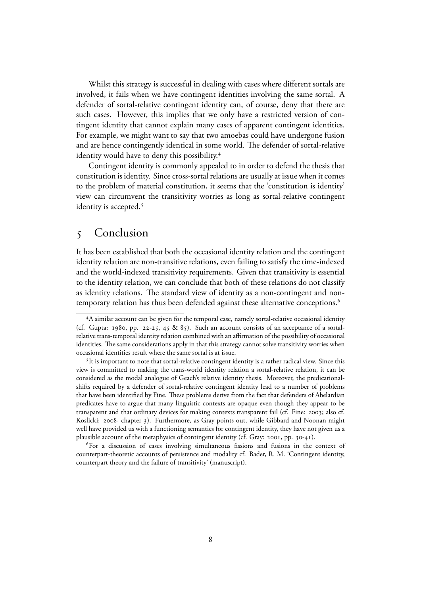Whilst this strategy is successful in dealing with cases where different sortals are involved, it fails when we have contingent identities involving the same sortal. A defender of sortal-relative contingent identity can, of course, deny that there are such cases. However, this implies that we only have a restricted version of contingent identity that cannot explain many cases of apparent contingent identities. For example, we might want to say that two amoebas could have undergone fusion and are hence contingently identical in some world. The defender of sortal-relative identity would have to deny this possibility.

Contingent identity is commonly appealed to in order to defend the thesis that constitution is identity. Since cross-sortal relations are usually at issue when it comes to the problem of material constitution, it seems that the 'constitution is identity' view can circumvent the transitivity worries as long as sortal-relative contingent identity is accepted.<sup>5</sup>

#### Conclusion

It has been established that both the occasional identity relation and the contingent identity relation are non-transitive relations, even failing to satisfy the time-indexed and the world-indexed transitivity requirements. Given that transitivity is essential to the identity relation, we can conclude that both of these relations do not classify as identity relations. The standard view of identity as a non-contingent and nontemporary relation has thus been defended against these alternative conceptions.

For a discussion of cases involving simultaneous fissions and fusions in the context of counterpart-theoretic accounts of persistence and modality cf. Bader, R. M. 'Contingent identity, counterpart theory and the failure of transitivity' (manuscript).

A similar account can be given for the temporal case, namely sortal-relative occasional identity (cf. Gupta: 1980, pp. 22-25, 45 & 85). Such an account consists of an acceptance of a sortalrelative trans-temporal identity relation combined with an affirmation of the possibility of occasional identities. The same considerations apply in that this strategy cannot solve transitivity worries when occasional identities result where the same sortal is at issue.

<sup>&</sup>lt;sup>5</sup>It is important to note that sortal-relative contingent identity is a rather radical view. Since this view is committed to making the trans-world identity relation a sortal-relative relation, it can be considered as the modal analogue of Geach's relative identity thesis. Moreover, the predicationalshifts required by a defender of sortal-relative contingent identity lead to a number of problems that have been identified by Fine. These problems derive from the fact that defenders of Abelardian predicates have to argue that many linguistic contexts are opaque even though they appear to be transparent and that ordinary devices for making contexts transparent fail (cf. Fine: 2003; also cf. Koslicki: 2008, chapter 3). Furthermore, as Gray points out, while Gibbard and Noonan might well have provided us with a functioning semantics for contingent identity, they have not given us a plausible account of the metaphysics of contingent identity (cf. Gray: 2001, pp. 30-41).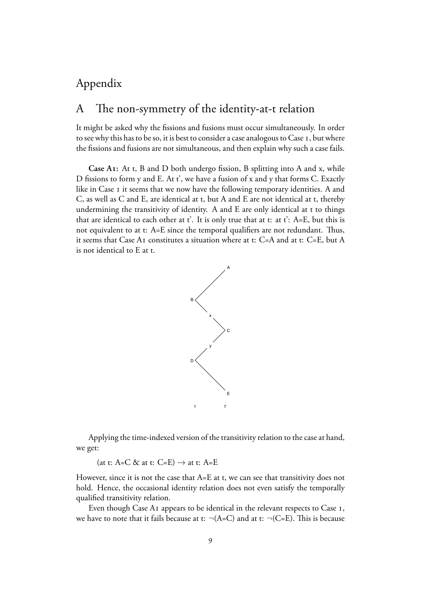## Appendix

## A The non-symmetry of the identity-at-t relation

It might be asked why the fissions and fusions must occur simultaneously. In order to see why this has to be so, it is best to consider a case analogous to Case 1, but where the fissions and fusions are not simultaneous, and then explain why such a case fails.

**Case AI:** At t, B and D both undergo fission, B splitting into A and x, while D fissions to form y and E. At t', we have a fusion of x and y that forms C. Exactly like in Case I it seems that we now have the following temporary identities. A and C, as well as C and E, are identical at t, but A and E are not identical at t, thereby undermining the transitivity of identity. A and E are only identical at t to things that are identical to each other at  $t'$ . It is only true that at t: at  $t'$ : A=E, but this is not equivalent to at  $t$ : A=E since the temporal qualifiers are not redundant. Thus, it seems that Case A<sub>I</sub> constitutes a situation where at t: C=A and at t: C=E, but A is not identical to E at t.



Applying the time-indexed version of the transitivity relation to the case at hand, we get:

(at t: A=C & at t: C=E)  $\rightarrow$  at t: A=E

However, since it is not the case that  $A=E$  at t, we can see that transitivity does not hold. Hence, the occasional identity relation does not even satisfy the temporally qualified transitivity relation.

Even though Case A<sub>I</sub> appears to be identical in the relevant respects to Case<sub>I</sub>, we have to note that it fails because at t:  $\neg(A=C)$  and at t:  $\neg(C=E)$ . This is because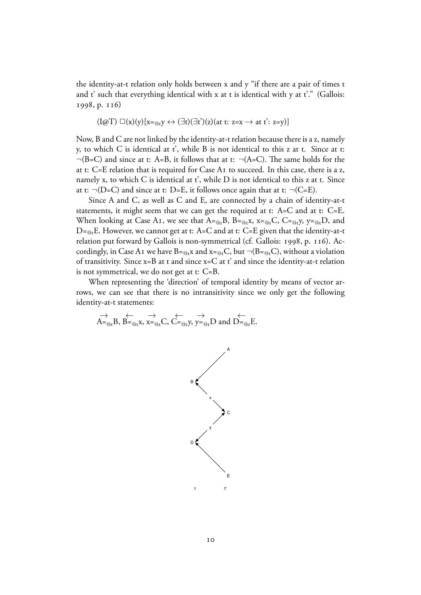the identity-at-t relation only holds between x and y "if there are a pair of times t and  $t'$  such that everything identical with x at t is identical with y at  $t'$ ." (Gallois: 1998, p. 116)

$$
(I \textcircled{a} T) \square(x)(y)[x =_{@t} y \leftrightarrow (\exists t)(\exists t')(z)(at t: z = x \rightarrow at t': z = y)]
$$

Now, B and C are not linked by the identity-at-t relation because there is a z, namely y, to which  $C$  is identical at  $t'$ , while  $B$  is not identical to this  $z$  at  $t$ . Since at  $t$ :  $\neg$ (B=C) and since at t: A=B, it follows that at t:  $\neg$ (A=C). The same holds for the at t: C=E relation that is required for Case A<sub>I</sub> to succeed. In this case, there is a z, namely x, to which C is identical at  $t'$ , while D is not identical to this z at t. Since at t:  $\neg(D=C)$  and since at t: D=E, it follows once again that at t:  $\neg(C=E)$ .

Since A and C, as well as C and E, are connected by a chain of identity-at-t statements, it might seem that we can get the required at t: A=C and at t: C=E. When looking at Case A<sub>I</sub>, we see that  $A = \alpha_t B$ ,  $B = \alpha_t x$ ,  $x = \alpha_t C$ ,  $C = \alpha_t y$ ,  $y = \alpha_t D$ , and  $D = \alpha_t E$ . However, we cannot get at t: A=C and at t: C=E given that the identity-at-t relation put forward by Gallois is non-symmetrical (cf. Gallois: 1998, p. 116). Accordingly, in Case A<sub>I</sub> we have  $B = \mathcal{A}_t$  and  $x = \mathcal{A}_t C$ , but  $\neg (B = \mathcal{A}_t C)$ , without a violation of transitivity. Since x=B at t and since x=C at t' and since the identity-at-t relation is not symmetrical, we do not get at t: C=B.

When representing the 'direction' of temporal identity by means of vector arrows, we can see that there is no intransitivity since we only get the following identity-at-t statements:

$$
\overrightarrow{A} =_{\text{Q}_t} B, B =_{\text{Q}_t} x, x =_{\text{Q}_t} C, C =_{\text{Q}_t} y, y =_{\text{Q}_t} D \text{ and } D =_{\text{Q}_t} E.
$$

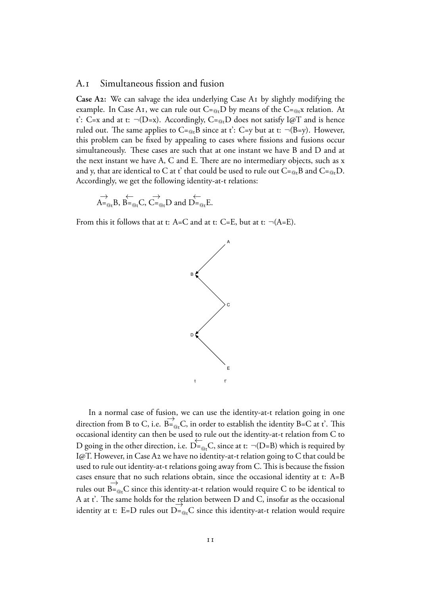#### A.<sub>I</sub> Simultaneous fission and fusion

**Case A2:** We can salvage the idea underlying Case A1 by slightly modifying the example. In Case A<sub>I</sub>, we can rule out C= $_{@t}D$  by means of the C= $_{@t}x$  relation. At t': C=x and at t:  $\neg(D=x)$ . Accordingly, C= $_{@r}D$  does not satisfy I@T and is hence ruled out. The same applies to  $C =_{@t}B$  since at t':  $C=y$  but at t:  $\neg(B=y)$ . However, this problem can be fixed by appealing to cases where fissions and fusions occur simultaneously. These cases are such that at one instant we have B and D and at the next instant we have  $A$ ,  $C$  and  $E$ . There are no intermediary objects, such as  $x$ and y, that are identical to C at t' that could be used to rule out  $C = \mathbf{Q}_t B$  and  $C = \mathbf{Q}_t D$ . Accordingly, we get the following identity-at-t relations:

$$
\mathop{\to}_{A =_{\textcircled{\tiny \rm {Q}}_t}}^{\textup{}} B, \mathop{\to}_{B =_{\textcircled{\tiny \rm {Q}}_t}}^{\textup{}} C, \mathop{\subset}_{\textup{=}_{\textcircled{\tiny \rm {Q}}_t}}^{\textup{}} D \text{ and } D_{\textup{=}_{\textcircled{\tiny \rm {Q}}_t}}^{\textup{}} E.
$$

From this it follows that at t: A=C and at t: C=E, but at t:  $\neg$ (A=E).



In a normal case of fusion, we can use the identity-at-t relation going in one direction from B to C, i.e.  $\overrightarrow{B} =_{\textcircled{a}t} C$ , in order to establish the identity B=C at t'. This occasional identity can then be used to rule out the identity-at-t relation from C to D going in the other direction, i.e.  $\overleftarrow{D} =_{\mathbb{Q}_f} C$ , since at t:  $\neg(D=B)$  which is required by I@T. However, in Case A2 we have no identity-at-t relation going to C that could be used to rule out identity-at-t relations going away from C. This is because the fission cases ensure that no such relations obtain, since the occasional identity at t: A=B rules out  $\overrightarrow{B}$  =  $_{\text{Qt}}$ C since this identity-at-t relation would require C to be identical to A at t'. The same holds for the relation between D and C, insofar as the occasional identity at t: E=D rules out D=<sub>@t</sub>C since this identity-at-t relation would require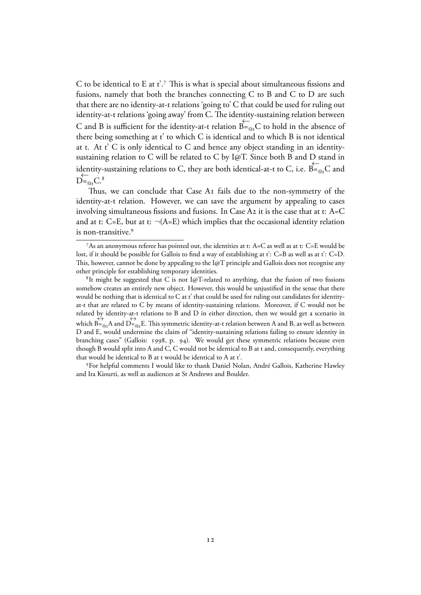C to be identical to E at  $t$ '.<sup>7</sup> This is what is special about simultaneous fissions and fusions, namely that both the branches connecting C to B and C to D are such that there are no identity-at-t relations 'going to' C that could be used for ruling out identity-at-t relations 'going away' from C. The identity-sustaining relation between C and B is sufficient for the identity-at-t relation  $\overline{B} =_{\mathcal{Q}_t} C$  to hold in the absence of there being something at t' to which C is identical and to which B is not identical at t. At t' C is only identical to C and hence any object standing in an identitysustaining relation to C will be related to C by I@T. Since both B and D stand in identity-sustaining relations to C, they are both identical-at-t to C, i.e. B=<sub>@t</sub>C and D<sup>—</sup><sub>@t</sub>C.<sup>8</sup>

Thus, we can conclude that Case AI fails due to the non-symmetry of the identity-at-t relation. However, we can save the argument by appealing to cases involving simultaneous fissions and fusions. In Case A<sub>2</sub> it is the case that at t:  $A=$ C and at t:  $C=E$ , but at t:  $\neg(A=E)$  which implies that the occasional identity relation is non-transitive.<sup>9</sup>

<sup>9</sup> For helpful comments I would like to thank Daniel Nolan, André Gallois, Katherine Hawley and Ira Kiourti, as well as audiences at St Andrews and Boulder.

<sup>&</sup>lt;sup>7</sup>As an anonymous referee has pointed out, the identities at t: A=C as well as at t: C=E would be lost, if it should be possible for Gallois to find a way of establishing at t': C=B as well as at t': C=D. This, however, cannot be done by appealing to the  $I@T$  principle and Gallois does not recognise any other principle for establishing temporary identities.

 ${}^{8}$ It might be suggested that C is not I@T-related to anything, that the fusion of two fissions somehow creates an entirely new object. However, this would be unjustified in the sense that there would be nothing that is identical to C at t' that could be used for ruling out candidates for identityat-t that are related to C by means of identity-sustaining relations. Moreover, if C would not be related by identity-at-t relations to B and D in either direction, then we would get a scenario in which B<sup>⇔</sup><sub>@t</sub>A and D<sup>⇒</sup><sub>@t</sub>E. This symmetric identity-at-t relation between A and B, as well as between D and E, would undermine the claim of "identity-sustaining relations failing to ensure identity in branching cases" (Gallois: 1998, p. 94). We would get these symmetric relations because even though B would split into A and C, C would not be identical to B at t and, consequently, everything that would be identical to B at t would be identical to A at t'.